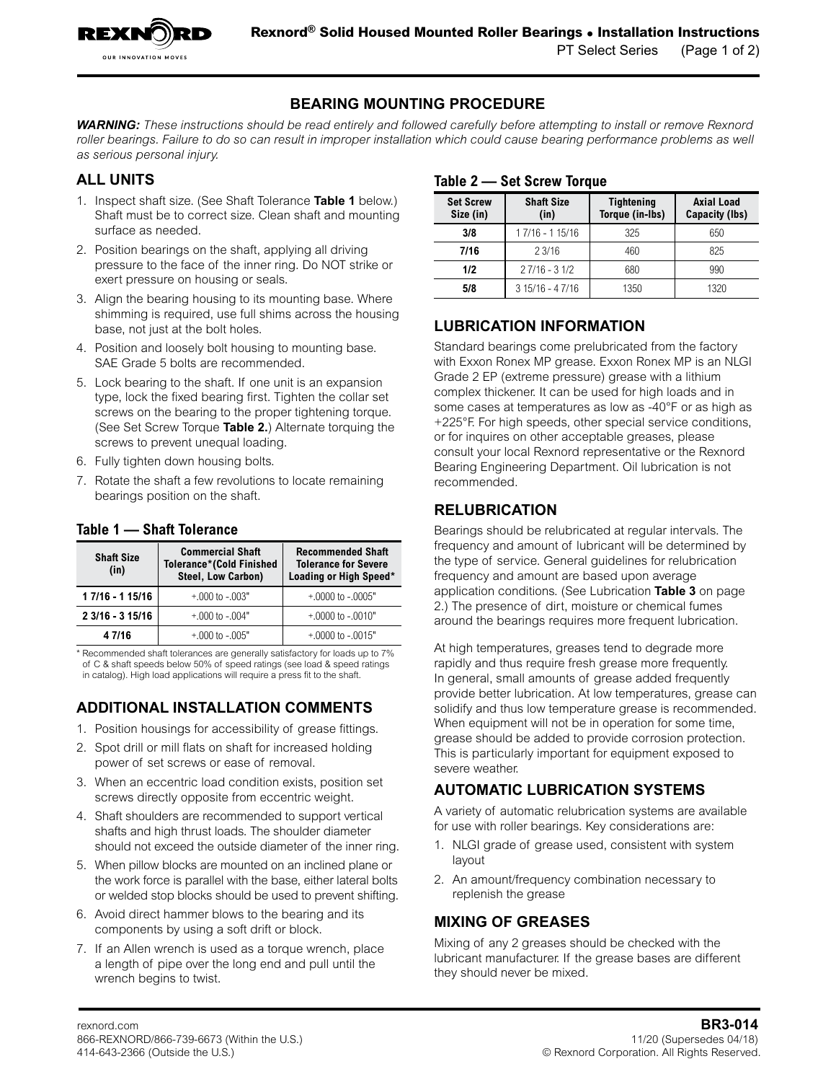## **BEARING MOUNTING PROCEDURE**

*WARNING: These instructions should be read entirely and followed carefully before attempting to install or remove Rexnord*  roller bearings. Failure to do so can result in improper installation which could cause bearing performance problems as well *as serious personal injury.*

## **ALL UNITS**

OUR INNOVATION MOVES

- 1. Inspect shaft size. (See Shaft Tolerance **Table 1** below.) Shaft must be to correct size. Clean shaft and mounting surface as needed.
- 2. Position bearings on the shaft, applying all driving pressure to the face of the inner ring. Do NOT strike or exert pressure on housing or seals.
- 3. Align the bearing housing to its mounting base. Where shimming is required, use full shims across the housing base, not just at the bolt holes.
- 4. Position and loosely bolt housing to mounting base. SAE Grade 5 bolts are recommended.
- 5. Lock bearing to the shaft. If one unit is an expansion type, lock the fixed bearing first. Tighten the collar set screws on the bearing to the proper tightening torque. (See Set Screw Torque **Table 2.**) Alternate torquing the screws to prevent unequal loading.
- 6. Fully tighten down housing bolts.
- 7. Rotate the shaft a few revolutions to locate remaining bearings position on the shaft.

| <b>Shaft Size</b><br>(in) | <b>Commercial Shaft</b><br><b>Tolerance*(Cold Finished</b><br>Steel, Low Carbon) | <b>Recommended Shaft</b><br><b>Tolerance for Severe</b><br>Loading or High Speed* |  |
|---------------------------|----------------------------------------------------------------------------------|-----------------------------------------------------------------------------------|--|
| 1 7/16 - 1 15/16          | $+000$ to $-003"$                                                                | $+0000$ to $-0005"$                                                               |  |
| 2 3/16 - 3 15/16          | $+000$ to $-004"$                                                                | $+0000$ to $-0010"$                                                               |  |
| 4 7/16                    | $+000$ to $-005"$                                                                | $+0000$ to $-0015"$                                                               |  |

### **Table 1 — Shaft Tolerance**

\* Recommended shaft tolerances are generally satisfactory for loads up to 7% of C & shaft speeds below 50% of speed ratings (see load & speed ratings in catalog). High load applications will require a press fit to the shaft.

# **ADDITIONAL INSTALLATION COMMENTS**

- 1. Position housings for accessibility of grease fittings.
- 2. Spot drill or mill flats on shaft for increased holding power of set screws or ease of removal.
- 3. When an eccentric load condition exists, position set screws directly opposite from eccentric weight.
- 4. Shaft shoulders are recommended to support vertical shafts and high thrust loads. The shoulder diameter should not exceed the outside diameter of the inner ring.
- 5. When pillow blocks are mounted on an inclined plane or the work force is parallel with the base, either lateral bolts or welded stop blocks should be used to prevent shifting.
- 6. Avoid direct hammer blows to the bearing and its components by using a soft drift or block.
- 7. If an Allen wrench is used as a torque wrench, place a length of pipe over the long end and pull until the wrench begins to twist.

## **Table 2 — Set Screw Torque**

| <b>Set Screw</b><br>Size (in) | <b>Shaft Size</b><br>(in) | <b>Tightening</b><br>Torque (in-Ibs) | <b>Axial Load</b><br>Capacity (lbs) |
|-------------------------------|---------------------------|--------------------------------------|-------------------------------------|
| 3/8                           | 17/16 - 115/16            | 325                                  | 650                                 |
| 7/16                          | 23/16                     | 460                                  | 825                                 |
| 1/2                           | $27/16 - 31/2$            | 680                                  | 990                                 |
| 5/8                           | $315/16 - 47/16$          | 1350                                 | 1320                                |

**LUBRICATION INFORMATION**

Standard bearings come prelubricated from the factory with Exxon Ronex MP grease. Exxon Ronex MP is an NLGI Grade 2 EP (extreme pressure) grease with a lithium complex thickener. It can be used for high loads and in some cases at temperatures as low as -40°F or as high as +225°F. For high speeds, other special service conditions, or for inquires on other acceptable greases, please consult your local Rexnord representative or the Rexnord Bearing Engineering Department. Oil lubrication is not recommended.

# **RELUBRICATION**

Bearings should be relubricated at regular intervals. The frequency and amount of lubricant will be determined by the type of service. General guidelines for relubrication frequency and amount are based upon average application conditions. (See [Lubrication](#page-1-0) **Table 3** on page [2](#page-1-0).) The presence of dirt, moisture or chemical fumes around the bearings requires more frequent lubrication.

At high temperatures, greases tend to degrade more rapidly and thus require fresh grease more frequently. In general, small amounts of grease added frequently provide better lubrication. At low temperatures, grease can solidify and thus low temperature grease is recommended. When equipment will not be in operation for some time, grease should be added to provide corrosion protection. This is particularly important for equipment exposed to severe weather.

# **AUTOMATIC LUBRICATION SYSTEMS**

A variety of automatic relubrication systems are available for use with roller bearings. Key considerations are:

- 1. NLGI grade of grease used, consistent with system layout
- 2. An amount/frequency combination necessary to replenish the grease

# **MIXING OF GREASES**

Mixing of any 2 greases should be checked with the lubricant manufacturer. If the grease bases are different they should never be mixed.